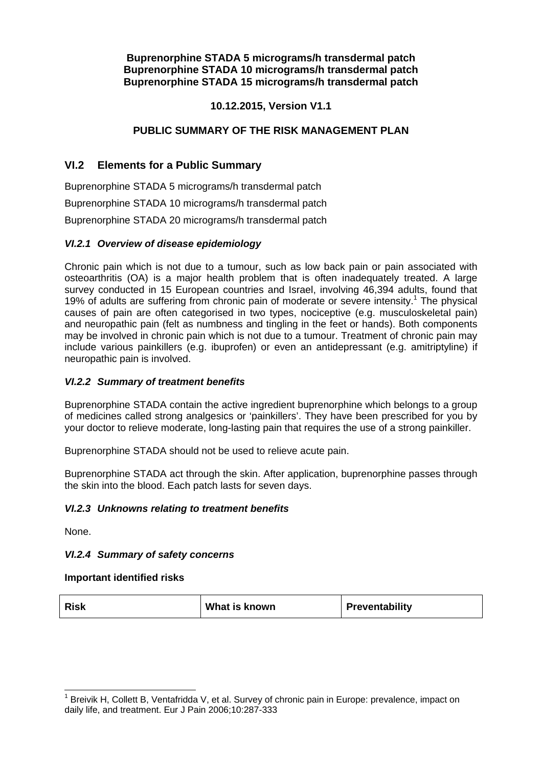**Buprenorphine STADA 5 micrograms/h transdermal patch Buprenorphine STADA 10 micrograms/h transdermal patch Buprenorphine STADA 15 micrograms/h transdermal patch** 

# **10.12.2015, Version V1.1**

# **PUBLIC SUMMARY OF THE RISK MANAGEMENT PLAN**

# **VI.2 Elements for a Public Summary**

Buprenorphine STADA 5 micrograms/h transdermal patch Buprenorphine STADA 10 micrograms/h transdermal patch Buprenorphine STADA 20 micrograms/h transdermal patch

#### *VI.2.1 Overview of disease epidemiology*

Chronic pain which is not due to a tumour, such as low back pain or pain associated with osteoarthritis (OA) is a major health problem that is often inadequately treated. A large survey conducted in 15 European countries and Israel, involving 46,394 adults, found that 19% of adults are suffering from chronic pain of moderate or severe intensity.<sup>1</sup> The physical causes of pain are often categorised in two types, nociceptive (e.g. musculoskeletal pain) and neuropathic pain (felt as numbness and tingling in the feet or hands). Both components may be involved in chronic pain which is not due to a tumour. Treatment of chronic pain may include various painkillers (e.g. ibuprofen) or even an antidepressant (e.g. amitriptyline) if neuropathic pain is involved.

#### *VI.2.2 Summary of treatment benefits*

Buprenorphine STADA contain the active ingredient buprenorphine which belongs to a group of medicines called strong analgesics or 'painkillers'. They have been prescribed for you by your doctor to relieve moderate, long-lasting pain that requires the use of a strong painkiller.

Buprenorphine STADA should not be used to relieve acute pain.

Buprenorphine STADA act through the skin. After application, buprenorphine passes through the skin into the blood. Each patch lasts for seven days.

#### *VI.2.3 Unknowns relating to treatment benefits*

None.

#### *VI.2.4 Summary of safety concerns*

#### **Important identified risks**

| <b>Risk</b><br>What is known<br>Preventability |  |
|------------------------------------------------|--|
|------------------------------------------------|--|

<sup>&</sup>lt;sup>1</sup> Breivik H, Collett B, Ventafridda V, et al. Survey of chronic pain in Europe: prevalence, impact on daily life, and treatment. Eur J Pain 2006;10:287-333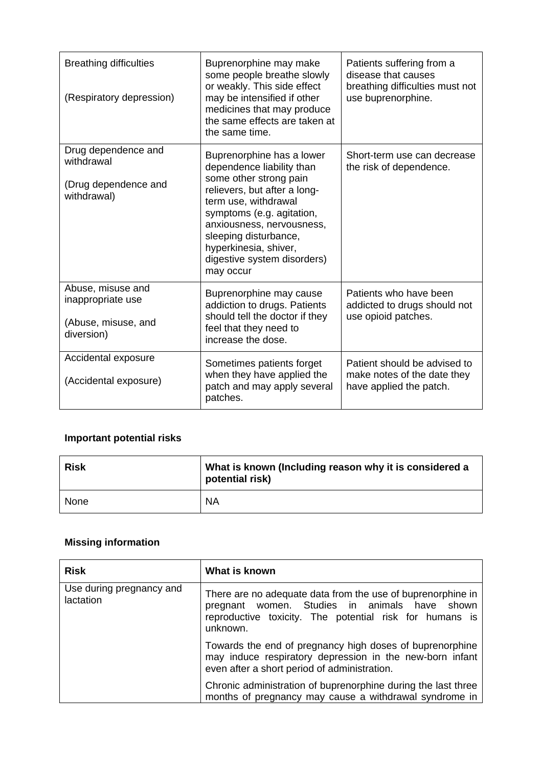| <b>Breathing difficulties</b><br>(Respiratory depression)                   | Buprenorphine may make<br>some people breathe slowly<br>or weakly. This side effect<br>may be intensified if other<br>medicines that may produce<br>the same effects are taken at<br>the same time.                                                                                              | Patients suffering from a<br>disease that causes<br>breathing difficulties must not<br>use buprenorphine. |
|-----------------------------------------------------------------------------|--------------------------------------------------------------------------------------------------------------------------------------------------------------------------------------------------------------------------------------------------------------------------------------------------|-----------------------------------------------------------------------------------------------------------|
| Drug dependence and<br>withdrawal<br>(Drug dependence and<br>withdrawal)    | Buprenorphine has a lower<br>dependence liability than<br>some other strong pain<br>relievers, but after a long-<br>term use, withdrawal<br>symptoms (e.g. agitation,<br>anxiousness, nervousness,<br>sleeping disturbance,<br>hyperkinesia, shiver,<br>digestive system disorders)<br>may occur | Short-term use can decrease<br>the risk of dependence.                                                    |
| Abuse, misuse and<br>inappropriate use<br>(Abuse, misuse, and<br>diversion) | Buprenorphine may cause<br>addiction to drugs. Patients<br>should tell the doctor if they<br>feel that they need to<br>increase the dose.                                                                                                                                                        | Patients who have been<br>addicted to drugs should not<br>use opioid patches.                             |
| Accidental exposure<br>(Accidental exposure)                                | Sometimes patients forget<br>when they have applied the<br>patch and may apply several<br>patches.                                                                                                                                                                                               | Patient should be advised to<br>make notes of the date they<br>have applied the patch.                    |

# **Important potential risks**

| <b>Risk</b> | What is known (Including reason why it is considered a<br>potential risk) |
|-------------|---------------------------------------------------------------------------|
| l None      | <b>NA</b>                                                                 |

# **Missing information**

| <b>Risk</b>                           | What is known                                                                                                                                                                          |
|---------------------------------------|----------------------------------------------------------------------------------------------------------------------------------------------------------------------------------------|
| Use during pregnancy and<br>lactation | There are no adequate data from the use of buprenorphine in<br>women. Studies in animals have shown<br>pregnant<br>reproductive toxicity. The potential risk for humans is<br>unknown. |
|                                       | Towards the end of pregnancy high doses of buprenorphine<br>may induce respiratory depression in the new-born infant<br>even after a short period of administration.                   |
|                                       | Chronic administration of buprenorphine during the last three<br>months of pregnancy may cause a withdrawal syndrome in                                                                |